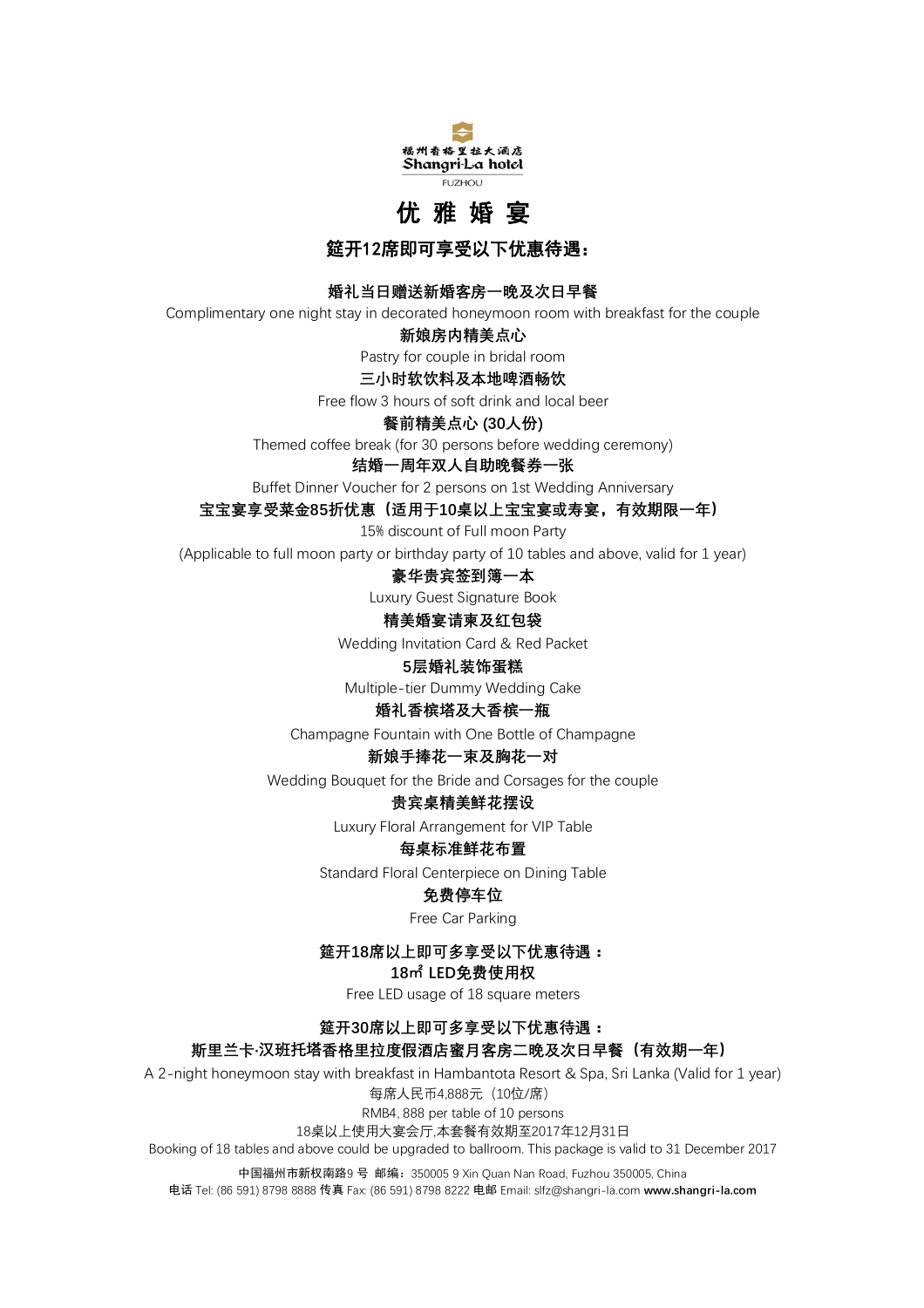

# **优 雅 婚 宴**

**筵开12席即可享受以下优惠待遇:** 

### **婚礼当日赠送新婚客房一晚及次日早餐**

Complimentary one night stay in decorated honeymoon room with breakfast for the couple

#### **新娘房内精美点心**

Pastry for couple in bridal room

### **三小时软饮料及本地啤酒畅饮**

Free flow 3 hours of soft drink and local beer

#### **餐前精美点心 (30人份)**

Themed coffee break (for 30 persons before wedding ceremony)

#### **结婚一周年双人自助晚餐券一张**

Buffet Dinner Voucher for 2 persons on 1st Wedding Anniversary

#### **宝宝宴享受菜金85折优惠(适用于10桌以上宝宝宴或寿宴,有效期限一年)**

15% discount of Full moon Party

(Applicable to full moon party or birthday party of 10 tables and above, valid for 1 year)

### **豪华贵宾签到簿一本**

Luxury Guest Signature Book

### **精美婚宴请柬及红包袋**

Wedding Invitation Card & Red Packet

#### **5层婚礼装饰蛋糕**

Multiple-tier Dummy Wedding Cake

#### **婚礼香槟塔及大香槟一瓶**

Champagne Fountain with One Bottle of Champagne

### **新娘手捧花一束及胸花一对**

Wedding Bouquet for the Bride and Corsages for the couple

#### **贵宾桌精美鲜花摆设**

Luxury Floral Arrangement for VIP Table

#### **每桌标准鲜花布置**

Standard Floral Centerpiece on Dining Table

### **免费停车位**

Free Car Parking

### **筵开18席以上即可多享受以下优惠待遇:**

**18㎡ LED免费使用权**

Free LED usage of 18 square meters

### **筵开30席以上即可多享受以下优惠待遇:**

### **斯里兰卡·汉班托塔香格里拉度假酒店蜜月客房二晚及次日早餐(有效期一年)**

A 2-night honeymoon stay with breakfast in Hambantota Resort & Spa, Sri Lanka (Valid for 1 year) 每席人民币4,888元(10位/席) RMB4, 888 per table of 10 persons

18桌以上使用大宴会厅,本套餐有效期至2017年12月31日

Booking of 18 tables and above could be upgraded to ballroom. This package is valid to 31 December 2017

中国福州市新权南路9 号 邮编:350005 9 Xin Quan Nan Road, Fuzhou 350005, China 电话 Tel: (86 591) 8798 8888 传真 Fax: (86 591) 8798 8222 电邮 Email: slfz@shangri-la.com **www.shangri-la.com**